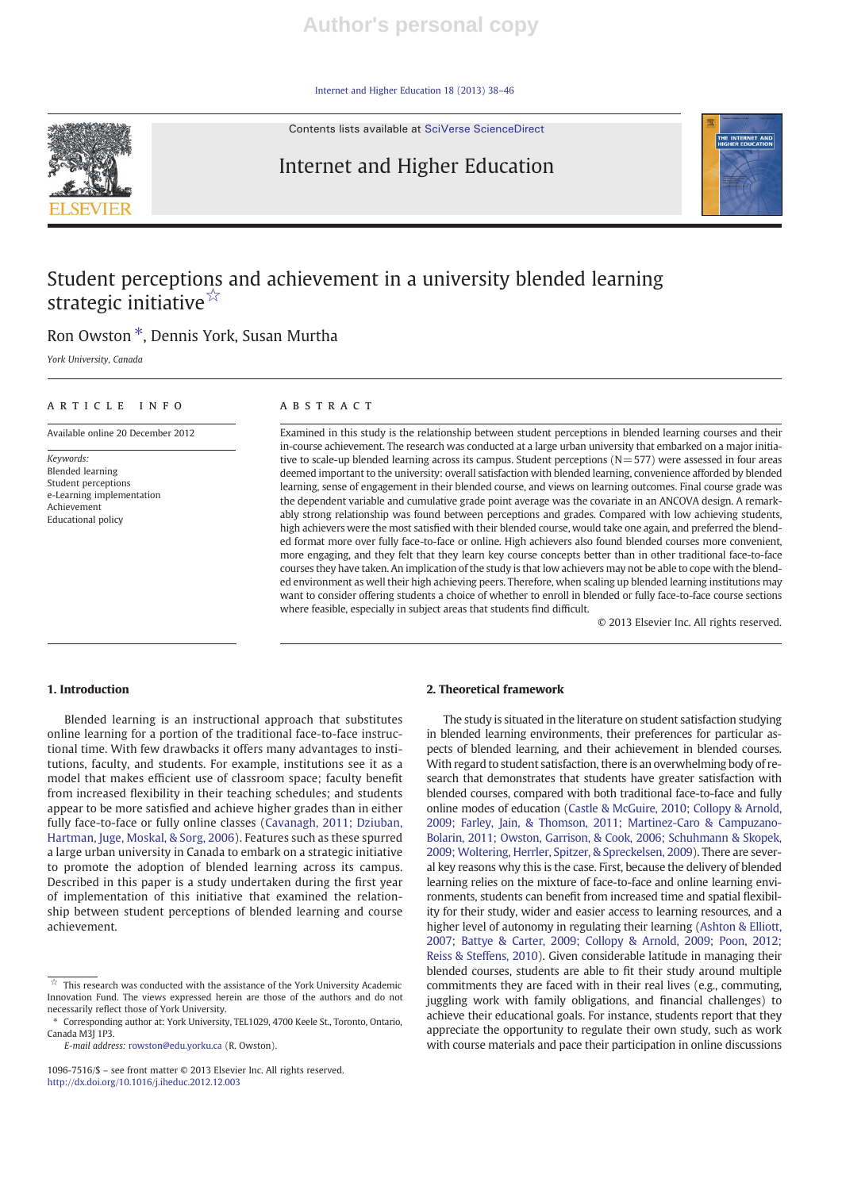Internet and Higher Education 18 (2013) 38–46

Contents lists available at SciVerse ScienceDirect



# Internet and Higher Education



# Student perceptions and achievement in a university blended learning strategic initiative<sup>☆</sup>

## Ron Owston ⁎, Dennis York, Susan Murtha

York University, Canada

### ARTICLE INFO ABSTRACT

Available online 20 December 2012

Keywords: Blended learning Student perceptions e-Learning implementation Achievement Educational policy

Examined in this study is the relationship between student perceptions in blended learning courses and their in-course achievement. The research was conducted at a large urban university that embarked on a major initiative to scale-up blended learning across its campus. Student perceptions  $(N=577)$  were assessed in four areas deemed important to the university: overall satisfaction with blended learning, convenience afforded by blended learning, sense of engagement in their blended course, and views on learning outcomes. Final course grade was the dependent variable and cumulative grade point average was the covariate in an ANCOVA design. A remarkably strong relationship was found between perceptions and grades. Compared with low achieving students, high achievers were the most satisfied with their blended course, would take one again, and preferred the blended format more over fully face-to-face or online. High achievers also found blended courses more convenient, more engaging, and they felt that they learn key course concepts better than in other traditional face-to-face courses they have taken. An implication of the study is that low achievers may not be able to cope with the blended environment as well their high achieving peers. Therefore, when scaling up blended learning institutions may want to consider offering students a choice of whether to enroll in blended or fully face-to-face course sections where feasible, especially in subject areas that students find difficult.

© 2013 Elsevier Inc. All rights reserved.

#### 1. Introduction

Blended learning is an instructional approach that substitutes online learning for a portion of the traditional face-to-face instructional time. With few drawbacks it offers many advantages to institutions, faculty, and students. For example, institutions see it as a model that makes efficient use of classroom space; faculty benefit from increased flexibility in their teaching schedules; and students appear to be more satisfied and achieve higher grades than in either fully face-to-face or fully online classes (Cavanagh, 2011; Dziuban, Hartman, Juge, Moskal, & Sorg, 2006). Features such as these spurred a large urban university in Canada to embark on a strategic initiative to promote the adoption of blended learning across its campus. Described in this paper is a study undertaken during the first year of implementation of this initiative that examined the relationship between student perceptions of blended learning and course achievement.

E-mail address: rowston@edu.yorku.ca (R. Owston).

#### 2. Theoretical framework

The study is situated in the literature on student satisfaction studying in blended learning environments, their preferences for particular aspects of blended learning, and their achievement in blended courses. With regard to student satisfaction, there is an overwhelming body of research that demonstrates that students have greater satisfaction with blended courses, compared with both traditional face-to-face and fully online modes of education (Castle & McGuire, 2010; Collopy & Arnold, 2009; Farley, Jain, & Thomson, 2011; Martinez-Caro & Campuzano-Bolarin, 2011; Owston, Garrison, & Cook, 2006; Schuhmann & Skopek, 2009; Woltering, Herrler, Spitzer, & Spreckelsen, 2009). There are several key reasons why this is the case. First, because the delivery of blended learning relies on the mixture of face-to-face and online learning environments, students can benefit from increased time and spatial flexibility for their study, wider and easier access to learning resources, and a higher level of autonomy in regulating their learning (Ashton & Elliott, 2007; Battye & Carter, 2009; Collopy & Arnold, 2009; Poon, 2012; Reiss & Steffens, 2010). Given considerable latitude in managing their blended courses, students are able to fit their study around multiple commitments they are faced with in their real lives (e.g., commuting, juggling work with family obligations, and financial challenges) to achieve their educational goals. For instance, students report that they appreciate the opportunity to regulate their own study, such as work with course materials and pace their participation in online discussions

This research was conducted with the assistance of the York University Academic Innovation Fund. The views expressed herein are those of the authors and do not necessarily reflect those of York University.

<sup>⁎</sup> Corresponding author at: York University, TEL1029, 4700 Keele St., Toronto, Ontario, Canada M3J 1P3.

<sup>1096-7516/\$</sup> – see front matter © 2013 Elsevier Inc. All rights reserved. http://dx.doi.org/10.1016/j.iheduc.2012.12.003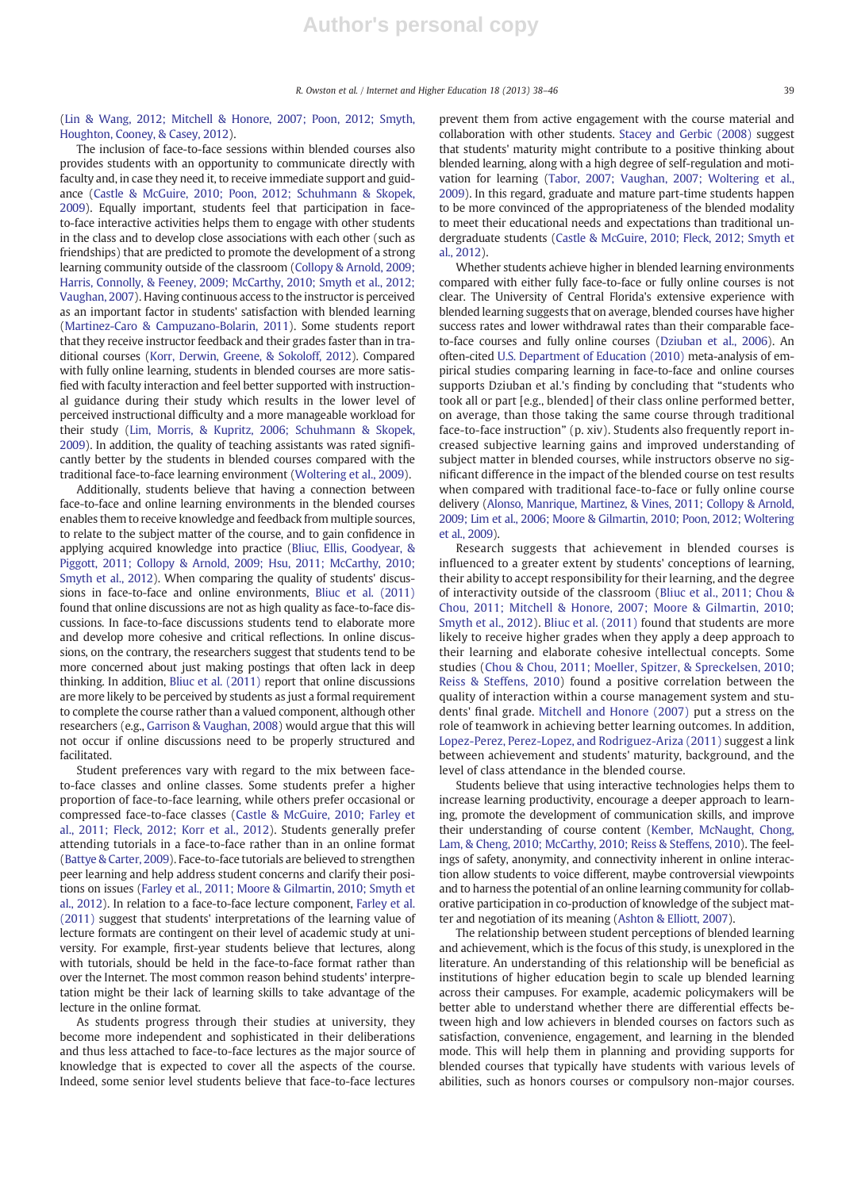(Lin & Wang, 2012; Mitchell & Honore, 2007; Poon, 2012; Smyth, Houghton, Cooney, & Casey, 2012).

The inclusion of face-to-face sessions within blended courses also provides students with an opportunity to communicate directly with faculty and, in case they need it, to receive immediate support and guidance (Castle & McGuire, 2010; Poon, 2012; Schuhmann & Skopek, 2009). Equally important, students feel that participation in faceto-face interactive activities helps them to engage with other students in the class and to develop close associations with each other (such as friendships) that are predicted to promote the development of a strong learning community outside of the classroom (Collopy & Arnold, 2009; Harris, Connolly, & Feeney, 2009; McCarthy, 2010; Smyth et al., 2012; Vaughan, 2007). Having continuous access to the instructor is perceived as an important factor in students' satisfaction with blended learning (Martinez-Caro & Campuzano-Bolarin, 2011). Some students report that they receive instructor feedback and their grades faster than in traditional courses (Korr, Derwin, Greene, & Sokoloff, 2012). Compared with fully online learning, students in blended courses are more satisfied with faculty interaction and feel better supported with instructional guidance during their study which results in the lower level of perceived instructional difficulty and a more manageable workload for their study (Lim, Morris, & Kupritz, 2006; Schuhmann & Skopek, 2009). In addition, the quality of teaching assistants was rated significantly better by the students in blended courses compared with the traditional face-to-face learning environment (Woltering et al., 2009).

Additionally, students believe that having a connection between face-to-face and online learning environments in the blended courses enables them to receive knowledge and feedback from multiple sources, to relate to the subject matter of the course, and to gain confidence in applying acquired knowledge into practice (Bliuc, Ellis, Goodyear, & Piggott, 2011; Collopy & Arnold, 2009; Hsu, 2011; McCarthy, 2010; Smyth et al., 2012). When comparing the quality of students' discussions in face-to-face and online environments, Bliuc et al. (2011) found that online discussions are not as high quality as face-to-face discussions. In face-to-face discussions students tend to elaborate more and develop more cohesive and critical reflections. In online discussions, on the contrary, the researchers suggest that students tend to be more concerned about just making postings that often lack in deep thinking. In addition, Bliuc et al. (2011) report that online discussions are more likely to be perceived by students as just a formal requirement to complete the course rather than a valued component, although other researchers (e.g., Garrison & Vaughan, 2008) would argue that this will not occur if online discussions need to be properly structured and facilitated.

Student preferences vary with regard to the mix between faceto-face classes and online classes. Some students prefer a higher proportion of face-to-face learning, while others prefer occasional or compressed face-to-face classes (Castle & McGuire, 2010; Farley et al., 2011; Fleck, 2012; Korr et al., 2012). Students generally prefer attending tutorials in a face-to-face rather than in an online format (Battye & Carter, 2009). Face-to-face tutorials are believed to strengthen peer learning and help address student concerns and clarify their positions on issues (Farley et al., 2011; Moore & Gilmartin, 2010; Smyth et al., 2012). In relation to a face-to-face lecture component, Farley et al. (2011) suggest that students' interpretations of the learning value of lecture formats are contingent on their level of academic study at university. For example, first-year students believe that lectures, along with tutorials, should be held in the face-to-face format rather than over the Internet. The most common reason behind students' interpretation might be their lack of learning skills to take advantage of the lecture in the online format.

As students progress through their studies at university, they become more independent and sophisticated in their deliberations and thus less attached to face-to-face lectures as the major source of knowledge that is expected to cover all the aspects of the course. Indeed, some senior level students believe that face-to-face lectures

prevent them from active engagement with the course material and collaboration with other students. Stacey and Gerbic (2008) suggest that students' maturity might contribute to a positive thinking about blended learning, along with a high degree of self-regulation and motivation for learning (Tabor, 2007; Vaughan, 2007; Woltering et al., 2009). In this regard, graduate and mature part-time students happen to be more convinced of the appropriateness of the blended modality to meet their educational needs and expectations than traditional undergraduate students (Castle & McGuire, 2010; Fleck, 2012; Smyth et al., 2012).

Whether students achieve higher in blended learning environments compared with either fully face-to-face or fully online courses is not clear. The University of Central Florida's extensive experience with blended learning suggests that on average, blended courses have higher success rates and lower withdrawal rates than their comparable faceto-face courses and fully online courses (Dziuban et al., 2006). An often-cited U.S. Department of Education (2010) meta-analysis of empirical studies comparing learning in face-to-face and online courses supports Dziuban et al.'s finding by concluding that "students who took all or part [e.g., blended] of their class online performed better, on average, than those taking the same course through traditional face-to-face instruction" (p. xiv). Students also frequently report increased subjective learning gains and improved understanding of subject matter in blended courses, while instructors observe no significant difference in the impact of the blended course on test results when compared with traditional face-to-face or fully online course delivery (Alonso, Manrique, Martinez, & Vines, 2011; Collopy & Arnold, 2009; Lim et al., 2006; Moore & Gilmartin, 2010; Poon, 2012; Woltering et al., 2009).

Research suggests that achievement in blended courses is influenced to a greater extent by students' conceptions of learning, their ability to accept responsibility for their learning, and the degree of interactivity outside of the classroom (Bliuc et al., 2011; Chou & Chou, 2011; Mitchell & Honore, 2007; Moore & Gilmartin, 2010; Smyth et al., 2012). Bliuc et al. (2011) found that students are more likely to receive higher grades when they apply a deep approach to their learning and elaborate cohesive intellectual concepts. Some studies (Chou & Chou, 2011; Moeller, Spitzer, & Spreckelsen, 2010; Reiss & Steffens, 2010) found a positive correlation between the quality of interaction within a course management system and students' final grade. Mitchell and Honore (2007) put a stress on the role of teamwork in achieving better learning outcomes. In addition, Lopez-Perez, Perez-Lopez, and Rodriguez-Ariza (2011) suggest a link between achievement and students' maturity, background, and the level of class attendance in the blended course.

Students believe that using interactive technologies helps them to increase learning productivity, encourage a deeper approach to learning, promote the development of communication skills, and improve their understanding of course content (Kember, McNaught, Chong, Lam, & Cheng, 2010; McCarthy, 2010; Reiss & Steffens, 2010). The feelings of safety, anonymity, and connectivity inherent in online interaction allow students to voice different, maybe controversial viewpoints and to harness the potential of an online learning community for collaborative participation in co-production of knowledge of the subject matter and negotiation of its meaning (Ashton & Elliott, 2007).

The relationship between student perceptions of blended learning and achievement, which is the focus of this study, is unexplored in the literature. An understanding of this relationship will be beneficial as institutions of higher education begin to scale up blended learning across their campuses. For example, academic policymakers will be better able to understand whether there are differential effects between high and low achievers in blended courses on factors such as satisfaction, convenience, engagement, and learning in the blended mode. This will help them in planning and providing supports for blended courses that typically have students with various levels of abilities, such as honors courses or compulsory non-major courses.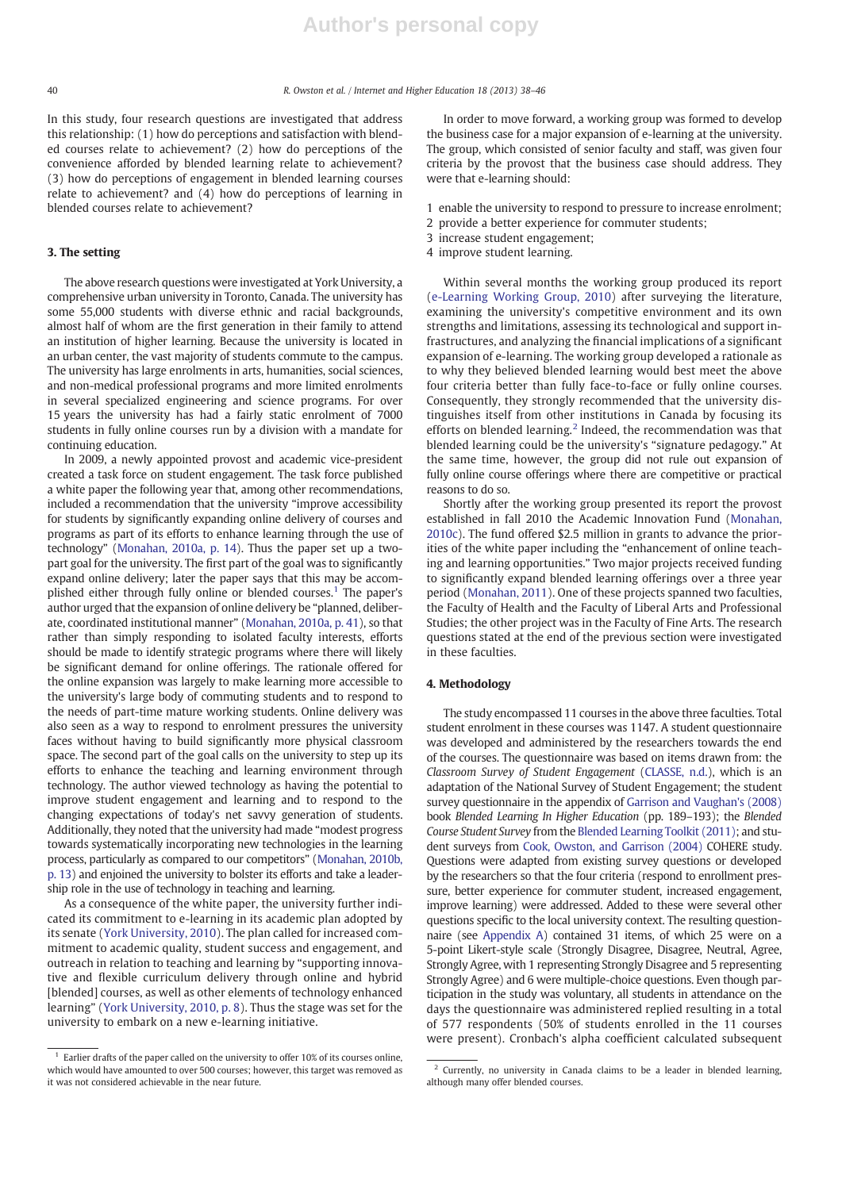In this study, four research questions are investigated that address this relationship: (1) how do perceptions and satisfaction with blended courses relate to achievement? (2) how do perceptions of the convenience afforded by blended learning relate to achievement? (3) how do perceptions of engagement in blended learning courses relate to achievement? and (4) how do perceptions of learning in blended courses relate to achievement?

#### 3. The setting

The above research questions were investigated at York University, a comprehensive urban university in Toronto, Canada. The university has some 55,000 students with diverse ethnic and racial backgrounds, almost half of whom are the first generation in their family to attend an institution of higher learning. Because the university is located in an urban center, the vast majority of students commute to the campus. The university has large enrolments in arts, humanities, social sciences, and non-medical professional programs and more limited enrolments in several specialized engineering and science programs. For over 15 years the university has had a fairly static enrolment of 7000 students in fully online courses run by a division with a mandate for continuing education.

In 2009, a newly appointed provost and academic vice-president created a task force on student engagement. The task force published a white paper the following year that, among other recommendations, included a recommendation that the university "improve accessibility for students by significantly expanding online delivery of courses and programs as part of its efforts to enhance learning through the use of technology" (Monahan, 2010a, p. 14). Thus the paper set up a twopart goal for the university. The first part of the goal was to significantly expand online delivery; later the paper says that this may be accomplished either through fully online or blended courses.<sup>1</sup> The paper's author urged that the expansion of online delivery be "planned, deliberate, coordinated institutional manner" (Monahan, 2010a, p. 41), so that rather than simply responding to isolated faculty interests, efforts should be made to identify strategic programs where there will likely be significant demand for online offerings. The rationale offered for the online expansion was largely to make learning more accessible to the university's large body of commuting students and to respond to the needs of part-time mature working students. Online delivery was also seen as a way to respond to enrolment pressures the university faces without having to build significantly more physical classroom space. The second part of the goal calls on the university to step up its efforts to enhance the teaching and learning environment through technology. The author viewed technology as having the potential to improve student engagement and learning and to respond to the changing expectations of today's net savvy generation of students. Additionally, they noted that the university had made "modest progress towards systematically incorporating new technologies in the learning process, particularly as compared to our competitors" (Monahan, 2010b, p. 13) and enjoined the university to bolster its efforts and take a leadership role in the use of technology in teaching and learning.

As a consequence of the white paper, the university further indicated its commitment to e-learning in its academic plan adopted by its senate (York University, 2010). The plan called for increased commitment to academic quality, student success and engagement, and outreach in relation to teaching and learning by "supporting innovative and flexible curriculum delivery through online and hybrid [blended] courses, as well as other elements of technology enhanced learning" (York University, 2010, p. 8). Thus the stage was set for the university to embark on a new e-learning initiative.

In order to move forward, a working group was formed to develop the business case for a major expansion of e-learning at the university. The group, which consisted of senior faculty and staff, was given four criteria by the provost that the business case should address. They were that e-learning should:

- 1 enable the university to respond to pressure to increase enrolment;
- 2 provide a better experience for commuter students;
- 3 increase student engagement;
- 4 improve student learning.

Within several months the working group produced its report (e-Learning Working Group, 2010) after surveying the literature, examining the university's competitive environment and its own strengths and limitations, assessing its technological and support infrastructures, and analyzing the financial implications of a significant expansion of e-learning. The working group developed a rationale as to why they believed blended learning would best meet the above four criteria better than fully face-to-face or fully online courses. Consequently, they strongly recommended that the university distinguishes itself from other institutions in Canada by focusing its efforts on blended learning.<sup>2</sup> Indeed, the recommendation was that blended learning could be the university's "signature pedagogy." At the same time, however, the group did not rule out expansion of fully online course offerings where there are competitive or practical reasons to do so.

Shortly after the working group presented its report the provost established in fall 2010 the Academic Innovation Fund (Monahan, 2010c). The fund offered \$2.5 million in grants to advance the priorities of the white paper including the "enhancement of online teaching and learning opportunities." Two major projects received funding to significantly expand blended learning offerings over a three year period (Monahan, 2011). One of these projects spanned two faculties, the Faculty of Health and the Faculty of Liberal Arts and Professional Studies; the other project was in the Faculty of Fine Arts. The research questions stated at the end of the previous section were investigated in these faculties.

#### 4. Methodology

The study encompassed 11 courses in the above three faculties. Total student enrolment in these courses was 1147. A student questionnaire was developed and administered by the researchers towards the end of the courses. The questionnaire was based on items drawn from: the Classroom Survey of Student Engagement (CLASSE, n.d.), which is an adaptation of the National Survey of Student Engagement; the student survey questionnaire in the appendix of Garrison and Vaughan's (2008) book Blended Learning In Higher Education (pp. 189–193); the Blended Course Student Survey from the Blended Learning Toolkit (2011); and student surveys from Cook, Owston, and Garrison (2004) COHERE study. Questions were adapted from existing survey questions or developed by the researchers so that the four criteria (respond to enrollment pressure, better experience for commuter student, increased engagement, improve learning) were addressed. Added to these were several other questions specific to the local university context. The resulting questionnaire (see Appendix A) contained 31 items, of which 25 were on a 5-point Likert-style scale (Strongly Disagree, Disagree, Neutral, Agree, Strongly Agree, with 1 representing Strongly Disagree and 5 representing Strongly Agree) and 6 were multiple-choice questions. Even though participation in the study was voluntary, all students in attendance on the days the questionnaire was administered replied resulting in a total of 577 respondents (50% of students enrolled in the 11 courses were present). Cronbach's alpha coefficient calculated subsequent

 $^{\rm 1}$  Earlier drafts of the paper called on the university to offer 10% of its courses online, which would have amounted to over 500 courses; however, this target was removed as it was not considered achievable in the near future.

<sup>&</sup>lt;sup>2</sup> Currently, no university in Canada claims to be a leader in blended learning, although many offer blended courses.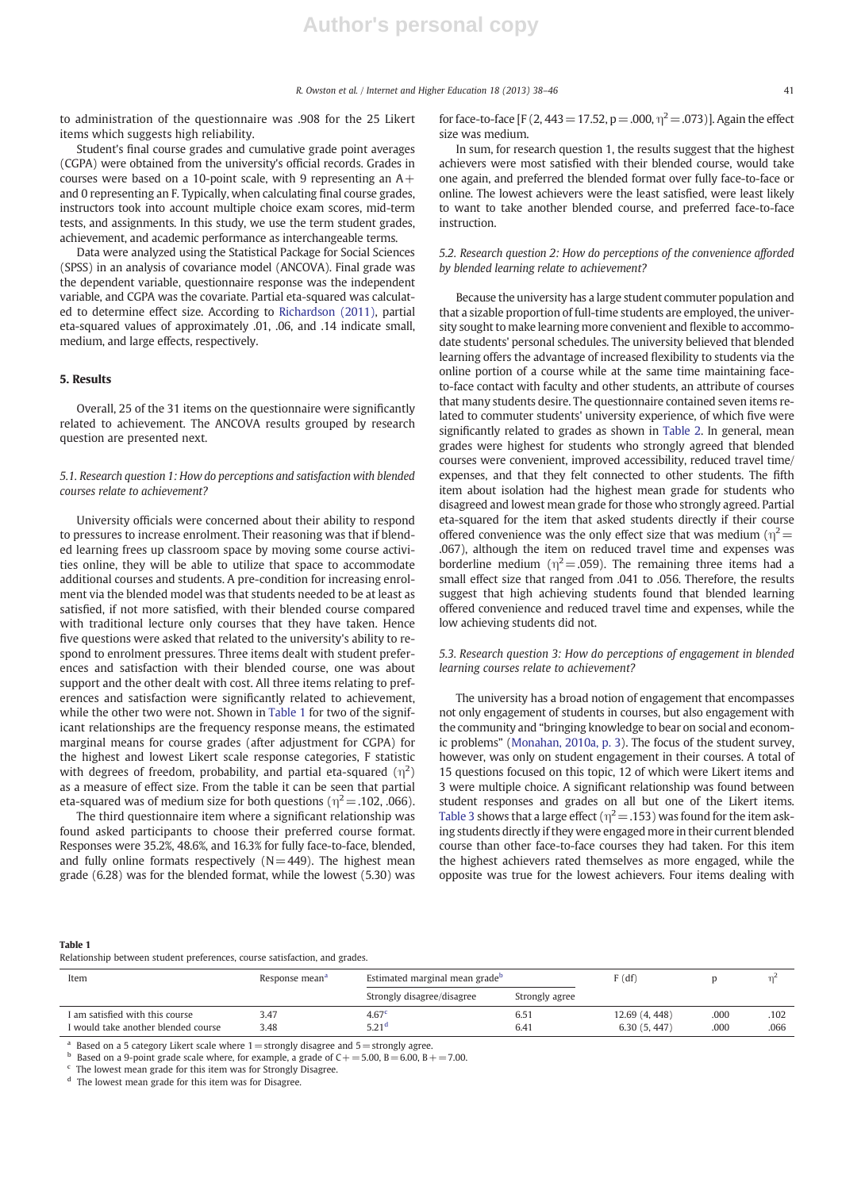to administration of the questionnaire was .908 for the 25 Likert items which suggests high reliability.

Student's final course grades and cumulative grade point averages (CGPA) were obtained from the university's official records. Grades in courses were based on a 10-point scale, with 9 representing an  $A+$ and 0 representing an F. Typically, when calculating final course grades, instructors took into account multiple choice exam scores, mid-term tests, and assignments. In this study, we use the term student grades, achievement, and academic performance as interchangeable terms.

Data were analyzed using the Statistical Package for Social Sciences (SPSS) in an analysis of covariance model (ANCOVA). Final grade was the dependent variable, questionnaire response was the independent variable, and CGPA was the covariate. Partial eta-squared was calculated to determine effect size. According to Richardson (2011), partial eta-squared values of approximately .01, .06, and .14 indicate small, medium, and large effects, respectively.

#### 5. Results

Overall, 25 of the 31 items on the questionnaire were significantly related to achievement. The ANCOVA results grouped by research question are presented next.

#### 5.1. Research question 1: How do perceptions and satisfaction with blended courses relate to achievement?

University officials were concerned about their ability to respond to pressures to increase enrolment. Their reasoning was that if blended learning frees up classroom space by moving some course activities online, they will be able to utilize that space to accommodate additional courses and students. A pre-condition for increasing enrolment via the blended model was that students needed to be at least as satisfied, if not more satisfied, with their blended course compared with traditional lecture only courses that they have taken. Hence five questions were asked that related to the university's ability to respond to enrolment pressures. Three items dealt with student preferences and satisfaction with their blended course, one was about support and the other dealt with cost. All three items relating to preferences and satisfaction were significantly related to achievement, while the other two were not. Shown in Table 1 for two of the significant relationships are the frequency response means, the estimated marginal means for course grades (after adjustment for CGPA) for the highest and lowest Likert scale response categories, F statistic with degrees of freedom, probability, and partial eta-squared  $(\eta^2)$ as a measure of effect size. From the table it can be seen that partial eta-squared was of medium size for both questions ( $\eta^2$  = .102, .066).

The third questionnaire item where a significant relationship was found asked participants to choose their preferred course format. Responses were 35.2%, 48.6%, and 16.3% for fully face-to-face, blended, and fully online formats respectively  $(N=449)$ . The highest mean grade (6.28) was for the blended format, while the lowest (5.30) was for face-to-face [F (2, 443 = 17.52, p = .000,  $\eta^2$  = .073)]. Again the effect size was medium.

In sum, for research question 1, the results suggest that the highest achievers were most satisfied with their blended course, would take one again, and preferred the blended format over fully face-to-face or online. The lowest achievers were the least satisfied, were least likely to want to take another blended course, and preferred face-to-face instruction.

#### 5.2. Research question 2: How do perceptions of the convenience afforded by blended learning relate to achievement?

Because the university has a large student commuter population and that a sizable proportion of full-time students are employed, the university sought to make learning more convenient and flexible to accommodate students' personal schedules. The university believed that blended learning offers the advantage of increased flexibility to students via the online portion of a course while at the same time maintaining faceto-face contact with faculty and other students, an attribute of courses that many students desire. The questionnaire contained seven items related to commuter students' university experience, of which five were significantly related to grades as shown in Table 2. In general, mean grades were highest for students who strongly agreed that blended courses were convenient, improved accessibility, reduced travel time/ expenses, and that they felt connected to other students. The fifth item about isolation had the highest mean grade for students who disagreed and lowest mean grade for those who strongly agreed. Partial eta-squared for the item that asked students directly if their course offered convenience was the only effect size that was medium ( $\eta^2$  = .067), although the item on reduced travel time and expenses was borderline medium ( $\eta^2$  = .059). The remaining three items had a small effect size that ranged from .041 to .056. Therefore, the results suggest that high achieving students found that blended learning offered convenience and reduced travel time and expenses, while the low achieving students did not.

#### 5.3. Research question 3: How do perceptions of engagement in blended learning courses relate to achievement?

The university has a broad notion of engagement that encompasses not only engagement of students in courses, but also engagement with the community and "bringing knowledge to bear on social and economic problems" (Monahan, 2010a, p. 3). The focus of the student survey, however, was only on student engagement in their courses. A total of 15 questions focused on this topic, 12 of which were Likert items and 3 were multiple choice. A significant relationship was found between student responses and grades on all but one of the Likert items. Table 3 shows that a large effect ( $\eta^2$  = .153) was found for the item asking students directly if they were engaged more in their current blended course than other face-to-face courses they had taken. For this item the highest achievers rated themselves as more engaged, while the opposite was true for the lowest achievers. Four items dealing with

#### Table 1

Relationship between student preferences, course satisfaction, and grades.

| Item                                                                   | Response mean <sup>d</sup> | Estimated marginal mean grade <sup>b</sup> |                | F (df)                         |              |              |
|------------------------------------------------------------------------|----------------------------|--------------------------------------------|----------------|--------------------------------|--------------|--------------|
|                                                                        |                            | Strongly disagree/disagree                 | Strongly agree |                                |              |              |
| I am satisfied with this course<br>I would take another blended course | 3.47<br>3.48               | 4.67 <sup>c</sup><br>5.21 <sup>d</sup>     | 6.51<br>6.41   | 12.69 (4, 448)<br>6.30(5, 447) | .000<br>.000 | .102<br>.066 |

<sup>a</sup> Based on a 5 category Likert scale where  $1=$  strongly disagree and  $5=$  strongly agree.

 $b$  Based on a 9-point grade scale where, for example, a grade of C + = 5.00, B = 6.00, B + = 7.00.

 $c$  The lowest mean grade for this item was for Strongly Disagree.

<sup>d</sup> The lowest mean grade for this item was for Disagree.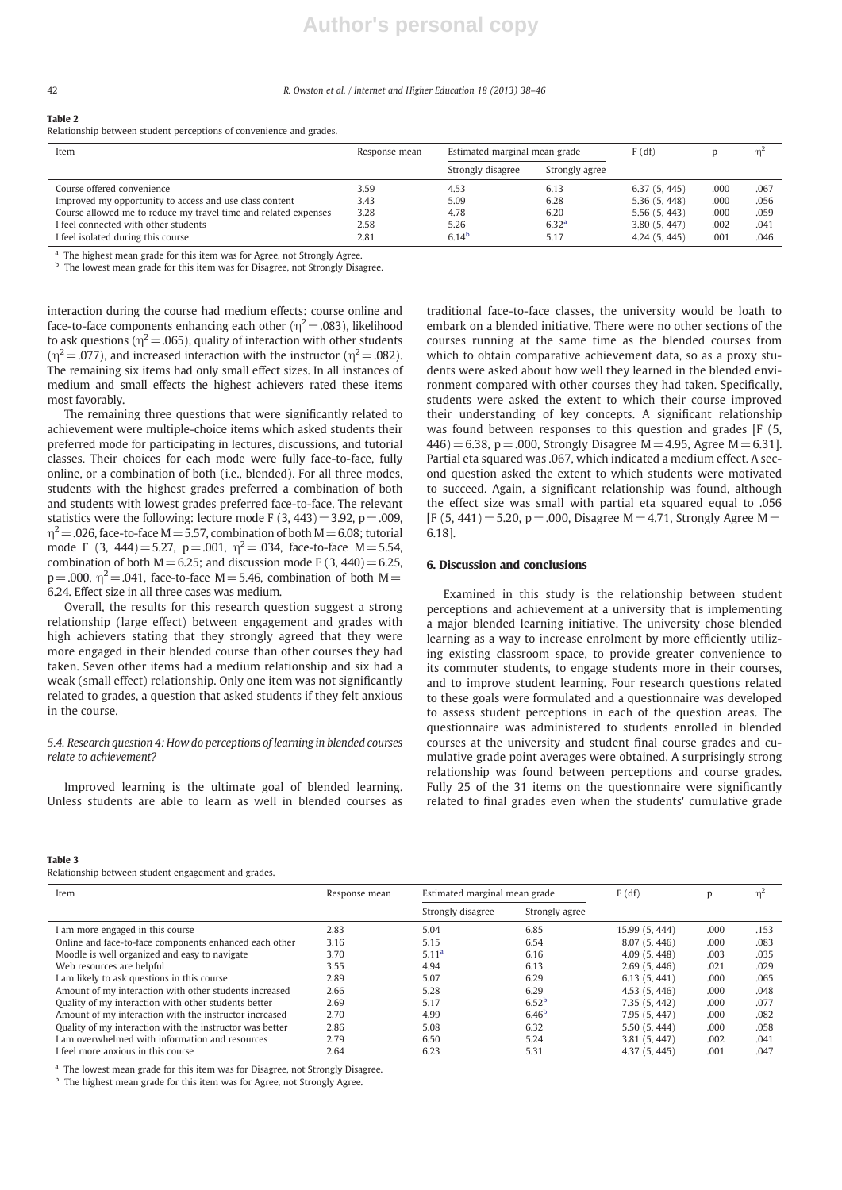#### 42 R. Owston et al. / Internet and Higher Education 18 (2013) 38–46

#### Table 2

Relationship between student perceptions of convenience and grades.

| Item                                                            | Response mean | Estimated marginal mean grade |                   | F(df)        |      | m-   |
|-----------------------------------------------------------------|---------------|-------------------------------|-------------------|--------------|------|------|
|                                                                 |               | Strongly disagree             | Strongly agree    |              |      |      |
| Course offered convenience                                      | 3.59          | 4.53                          | 6.13              | 6.37(5, 445) | .000 | .067 |
| Improved my opportunity to access and use class content         | 3.43          | 5.09                          | 6.28              | 5.36(5, 448) | .000 | .056 |
| Course allowed me to reduce my travel time and related expenses | 3.28          | 4.78                          | 6.20              | 5.56(5, 443) | .000 | .059 |
| I feel connected with other students                            | 2.58          | 5.26                          | 6.32 <sup>a</sup> | 3.80(5, 447) | .002 | .041 |
| I feel isolated during this course                              | 2.81          | 6.14 <sup>b</sup>             | 5.17              | 4.24(5, 445) | .001 | .046 |

<sup>a</sup> The highest mean grade for this item was for Agree, not Strongly Agree.

**b** The lowest mean grade for this item was for Disagree, not Strongly Disagree.

interaction during the course had medium effects: course online and face-to-face components enhancing each other ( $\eta^2$  = .083), likelihood to ask questions ( $\eta^2$  = .065), quality of interaction with other students  $(\eta^2 = .077)$ , and increased interaction with the instructor  $(\eta^2 = .082)$ . The remaining six items had only small effect sizes. In all instances of medium and small effects the highest achievers rated these items most favorably.

The remaining three questions that were significantly related to achievement were multiple-choice items which asked students their preferred mode for participating in lectures, discussions, and tutorial classes. Their choices for each mode were fully face-to-face, fully online, or a combination of both (i.e., blended). For all three modes, students with the highest grades preferred a combination of both and students with lowest grades preferred face-to-face. The relevant statistics were the following: lecture mode F  $(3, 443) = 3.92$ , p = .009,  $\eta^2$  = .026, face-to-face M = 5.57, combination of both M = 6.08; tutorial mode F (3, 444) = 5.27, p = .001,  $\eta^2$  = .034, face-to-face M = 5.54, combination of both  $M=6.25$ ; and discussion mode F (3, 440) = 6.25,  $p = .000$ ,  $\eta^2 = .041$ , face-to-face M = 5.46, combination of both M = 6.24. Effect size in all three cases was medium.

Overall, the results for this research question suggest a strong relationship (large effect) between engagement and grades with high achievers stating that they strongly agreed that they were more engaged in their blended course than other courses they had taken. Seven other items had a medium relationship and six had a weak (small effect) relationship. Only one item was not significantly related to grades, a question that asked students if they felt anxious in the course.

#### 5.4. Research question 4: How do perceptions of learning in blended courses relate to achievement?

Improved learning is the ultimate goal of blended learning. Unless students are able to learn as well in blended courses as traditional face-to-face classes, the university would be loath to embark on a blended initiative. There were no other sections of the courses running at the same time as the blended courses from which to obtain comparative achievement data, so as a proxy students were asked about how well they learned in the blended environment compared with other courses they had taken. Specifically, students were asked the extent to which their course improved their understanding of key concepts. A significant relationship was found between responses to this question and grades [F (5,  $446$ ) = 6.38, p = .000, Strongly Disagree M = 4.95, Agree M = 6.31]. Partial eta squared was .067, which indicated a medium effect. A second question asked the extent to which students were motivated to succeed. Again, a significant relationship was found, although the effect size was small with partial eta squared equal to .056  $[F (5, 441) = 5.20, p = .000, Disagree M = 4.71, Strongly Agree M =$ 6.18].

#### 6. Discussion and conclusions

Examined in this study is the relationship between student perceptions and achievement at a university that is implementing a major blended learning initiative. The university chose blended learning as a way to increase enrolment by more efficiently utilizing existing classroom space, to provide greater convenience to its commuter students, to engage students more in their courses, and to improve student learning. Four research questions related to these goals were formulated and a questionnaire was developed to assess student perceptions in each of the question areas. The questionnaire was administered to students enrolled in blended courses at the university and student final course grades and cumulative grade point averages were obtained. A surprisingly strong relationship was found between perceptions and course grades. Fully 25 of the 31 items on the questionnaire were significantly related to final grades even when the students' cumulative grade

#### Table 3

Relationship between student engagement and grades.

| Item                                                     | Response mean | Estimated marginal mean grade |                   |                |      | F(df) | D |  |
|----------------------------------------------------------|---------------|-------------------------------|-------------------|----------------|------|-------|---|--|
|                                                          |               | Strongly disagree             | Strongly agree    |                |      |       |   |  |
| I am more engaged in this course                         | 2.83          | 5.04                          | 6.85              | 15.99 (5, 444) | .000 | .153  |   |  |
| Online and face-to-face components enhanced each other   | 3.16          | 5.15                          | 6.54              | 8.07(5, 446)   | .000 | .083  |   |  |
| Moodle is well organized and easy to navigate            | 3.70          | 5.11 <sup>a</sup>             | 6.16              | 4.09(5, 448)   | .003 | .035  |   |  |
| Web resources are helpful                                | 3.55          | 4.94                          | 6.13              | 2.69(5, 446)   | .021 | .029  |   |  |
| I am likely to ask questions in this course              | 2.89          | 5.07                          | 6.29              | 6.13(5, 441)   | .000 | .065  |   |  |
| Amount of my interaction with other students increased   | 2.66          | 5.28                          | 6.29              | 4.53(5, 446)   | .000 | .048  |   |  |
| Quality of my interaction with other students better     | 2.69          | 5.17                          | 6.52 <sup>b</sup> | 7.35(5, 442)   | .000 | .077  |   |  |
| Amount of my interaction with the instructor increased   | 2.70          | 4.99                          | 6.46 <sup>b</sup> | 7.95 (5, 447)  | .000 | .082  |   |  |
| Quality of my interaction with the instructor was better | 2.86          | 5.08                          | 6.32              | 5.50 (5, 444)  | .000 | .058  |   |  |
| Lam overwhelmed with information and resources           | 2.79          | 6.50                          | 5.24              | 3.81(5, 447)   | .002 | .041  |   |  |
| I feel more anxious in this course                       | 2.64          | 6.23                          | 5.31              | 4.37(5, 445)   | .001 | .047  |   |  |

<sup>a</sup> The lowest mean grade for this item was for Disagree, not Strongly Disagree.

<sup>b</sup> The highest mean grade for this item was for Agree, not Strongly Agree.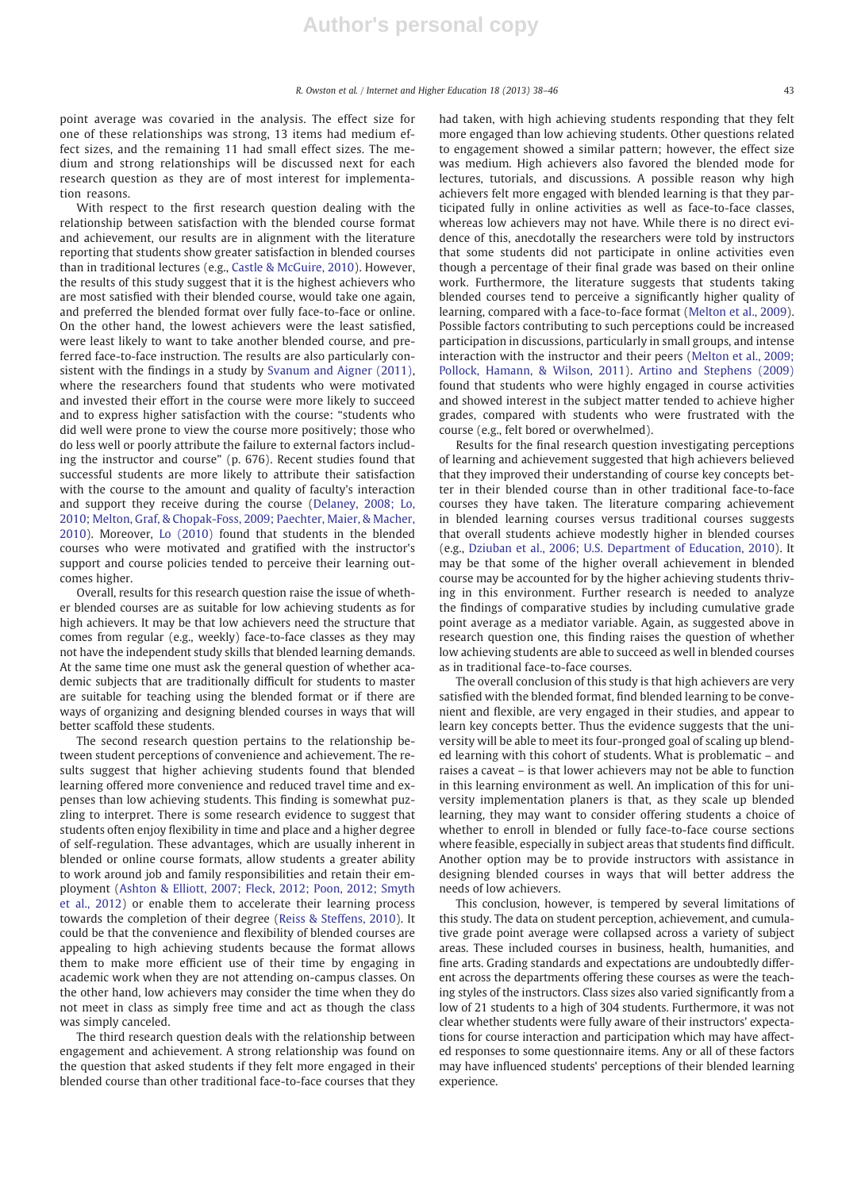point average was covaried in the analysis. The effect size for one of these relationships was strong, 13 items had medium effect sizes, and the remaining 11 had small effect sizes. The medium and strong relationships will be discussed next for each research question as they are of most interest for implementation reasons.

With respect to the first research question dealing with the relationship between satisfaction with the blended course format and achievement, our results are in alignment with the literature reporting that students show greater satisfaction in blended courses than in traditional lectures (e.g., Castle & McGuire, 2010). However, the results of this study suggest that it is the highest achievers who are most satisfied with their blended course, would take one again, and preferred the blended format over fully face-to-face or online. On the other hand, the lowest achievers were the least satisfied, were least likely to want to take another blended course, and preferred face-to-face instruction. The results are also particularly consistent with the findings in a study by Svanum and Aigner (2011), where the researchers found that students who were motivated and invested their effort in the course were more likely to succeed and to express higher satisfaction with the course: "students who did well were prone to view the course more positively; those who do less well or poorly attribute the failure to external factors including the instructor and course" (p. 676). Recent studies found that successful students are more likely to attribute their satisfaction with the course to the amount and quality of faculty's interaction and support they receive during the course (Delaney, 2008; Lo, 2010; Melton, Graf, & Chopak-Foss, 2009; Paechter, Maier, & Macher, 2010). Moreover, Lo (2010) found that students in the blended courses who were motivated and gratified with the instructor's support and course policies tended to perceive their learning outcomes higher.

Overall, results for this research question raise the issue of whether blended courses are as suitable for low achieving students as for high achievers. It may be that low achievers need the structure that comes from regular (e.g., weekly) face-to-face classes as they may not have the independent study skills that blended learning demands. At the same time one must ask the general question of whether academic subjects that are traditionally difficult for students to master are suitable for teaching using the blended format or if there are ways of organizing and designing blended courses in ways that will better scaffold these students.

The second research question pertains to the relationship between student perceptions of convenience and achievement. The results suggest that higher achieving students found that blended learning offered more convenience and reduced travel time and expenses than low achieving students. This finding is somewhat puzzling to interpret. There is some research evidence to suggest that students often enjoy flexibility in time and place and a higher degree of self-regulation. These advantages, which are usually inherent in blended or online course formats, allow students a greater ability to work around job and family responsibilities and retain their employment (Ashton & Elliott, 2007; Fleck, 2012; Poon, 2012; Smyth et al., 2012) or enable them to accelerate their learning process towards the completion of their degree (Reiss & Steffens, 2010). It could be that the convenience and flexibility of blended courses are appealing to high achieving students because the format allows them to make more efficient use of their time by engaging in academic work when they are not attending on-campus classes. On the other hand, low achievers may consider the time when they do not meet in class as simply free time and act as though the class was simply canceled.

The third research question deals with the relationship between engagement and achievement. A strong relationship was found on the question that asked students if they felt more engaged in their blended course than other traditional face-to-face courses that they had taken, with high achieving students responding that they felt more engaged than low achieving students. Other questions related to engagement showed a similar pattern; however, the effect size was medium. High achievers also favored the blended mode for lectures, tutorials, and discussions. A possible reason why high achievers felt more engaged with blended learning is that they participated fully in online activities as well as face-to-face classes, whereas low achievers may not have. While there is no direct evidence of this, anecdotally the researchers were told by instructors that some students did not participate in online activities even though a percentage of their final grade was based on their online work. Furthermore, the literature suggests that students taking blended courses tend to perceive a significantly higher quality of learning, compared with a face-to-face format (Melton et al., 2009). Possible factors contributing to such perceptions could be increased participation in discussions, particularly in small groups, and intense interaction with the instructor and their peers (Melton et al., 2009; Pollock, Hamann, & Wilson, 2011). Artino and Stephens (2009) found that students who were highly engaged in course activities and showed interest in the subject matter tended to achieve higher grades, compared with students who were frustrated with the course (e.g., felt bored or overwhelmed).

Results for the final research question investigating perceptions of learning and achievement suggested that high achievers believed that they improved their understanding of course key concepts better in their blended course than in other traditional face-to-face courses they have taken. The literature comparing achievement in blended learning courses versus traditional courses suggests that overall students achieve modestly higher in blended courses (e.g., Dziuban et al., 2006; U.S. Department of Education, 2010). It may be that some of the higher overall achievement in blended course may be accounted for by the higher achieving students thriving in this environment. Further research is needed to analyze the findings of comparative studies by including cumulative grade point average as a mediator variable. Again, as suggested above in research question one, this finding raises the question of whether low achieving students are able to succeed as well in blended courses as in traditional face-to-face courses.

The overall conclusion of this study is that high achievers are very satisfied with the blended format, find blended learning to be convenient and flexible, are very engaged in their studies, and appear to learn key concepts better. Thus the evidence suggests that the university will be able to meet its four-pronged goal of scaling up blended learning with this cohort of students. What is problematic – and raises a caveat – is that lower achievers may not be able to function in this learning environment as well. An implication of this for university implementation planers is that, as they scale up blended learning, they may want to consider offering students a choice of whether to enroll in blended or fully face-to-face course sections where feasible, especially in subject areas that students find difficult. Another option may be to provide instructors with assistance in designing blended courses in ways that will better address the needs of low achievers.

This conclusion, however, is tempered by several limitations of this study. The data on student perception, achievement, and cumulative grade point average were collapsed across a variety of subject areas. These included courses in business, health, humanities, and fine arts. Grading standards and expectations are undoubtedly different across the departments offering these courses as were the teaching styles of the instructors. Class sizes also varied significantly from a low of 21 students to a high of 304 students. Furthermore, it was not clear whether students were fully aware of their instructors' expectations for course interaction and participation which may have affected responses to some questionnaire items. Any or all of these factors may have influenced students' perceptions of their blended learning experience.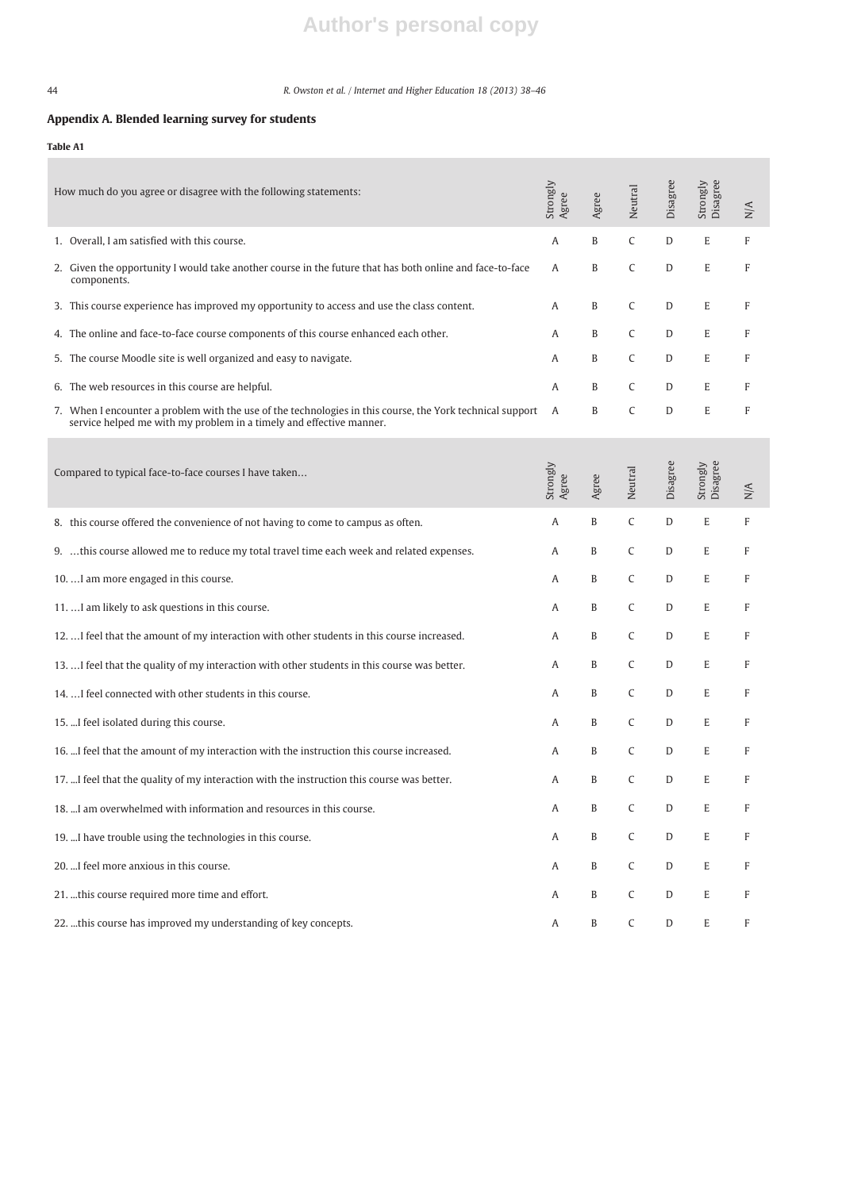# **Author's personal copy**

### 44 R. Owston et al. / Internet and Higher Education 18 (2013) 38–46

## Appendix A. Blended learning survey for students

#### Table A1 ×

| How much do you agree or disagree with the following statements:                                                                                                                 | Strongly<br>Agree | Agree | Neutral | Disagree    | Strongly<br>Disagree | $\mathbb{N}/\mathbb{A}$ |
|----------------------------------------------------------------------------------------------------------------------------------------------------------------------------------|-------------------|-------|---------|-------------|----------------------|-------------------------|
| 1. Overall, I am satisfied with this course.                                                                                                                                     | А                 | B     | C       | D           | E                    | F                       |
| 2. Given the opportunity I would take another course in the future that has both online and face-to-face<br>components.                                                          | A                 | B     | C       | D           | E                    | F                       |
| 3. This course experience has improved my opportunity to access and use the class content.                                                                                       | A                 | B     | C       | D           | E                    | F                       |
| 4. The online and face-to-face course components of this course enhanced each other.                                                                                             | A                 | B     | C       | D           | E                    | F                       |
| 5. The course Moodle site is well organized and easy to navigate.                                                                                                                | Α                 | B     | C       | D           | E                    | F                       |
| 6. The web resources in this course are helpful.                                                                                                                                 | Α                 | B     | C       | D           | E                    | F                       |
| 7. When I encounter a problem with the use of the technologies in this course, the York technical support<br>service helped me with my problem in a timely and effective manner. | А                 | B     | C       | D           | E                    | F                       |
| Compared to typical face-to-face courses I have taken                                                                                                                            | Strongly<br>Agree | Agree | Neutral | Disagree    | Strongly<br>Disagree | $_{\rm N/A}$            |
| 8. this course offered the convenience of not having to come to campus as often.                                                                                                 | Α                 | B     | C       | D           | E                    | F                       |
| 9. this course allowed me to reduce my total travel time each week and related expenses.                                                                                         | A                 | B     | C       | D           | E                    | F                       |
| 10.  I am more engaged in this course.                                                                                                                                           | Α                 | B     | C       | D           | E                    | F                       |
| 11.  I am likely to ask questions in this course.                                                                                                                                | A                 | B     | C       | D           | E                    | F                       |
| 12.  I feel that the amount of my interaction with other students in this course increased.                                                                                      | A                 | B     | C       | D           | E                    | F                       |
| 13.  I feel that the quality of my interaction with other students in this course was better.                                                                                    | Α                 | B     | C       | D           | E                    | F                       |
| 14.  I feel connected with other students in this course.                                                                                                                        | A                 | B     | C       | D           | E                    | F                       |
| 15.  I feel isolated during this course.                                                                                                                                         | Α                 | B     | C       | D           | E                    | F                       |
| 16.  I feel that the amount of my interaction with the instruction this course increased.                                                                                        | A                 | B     | C       | D           | E                    | F                       |
| 17.  I feel that the quality of my interaction with the instruction this course was better.                                                                                      | A                 | B     | C       | D           | E                    | F                       |
| 18.  I am overwhelmed with information and resources in this course.                                                                                                             | Α                 | B     | C       | D           | E                    | F                       |
| 19.  I have trouble using the technologies in this course.                                                                                                                       | Α                 | B     | C       | D           | E                    | F                       |
| 20.  I feel more anxious in this course.                                                                                                                                         | Α                 | B     | C       | D           | E                    | F                       |
| 21. this course required more time and effort.                                                                                                                                   | Α                 | B     | C       | D           | E                    | F                       |
| 22. this course has improved my understanding of key concepts.                                                                                                                   | Α                 | B     | C       | $\mathbb D$ | E                    | F                       |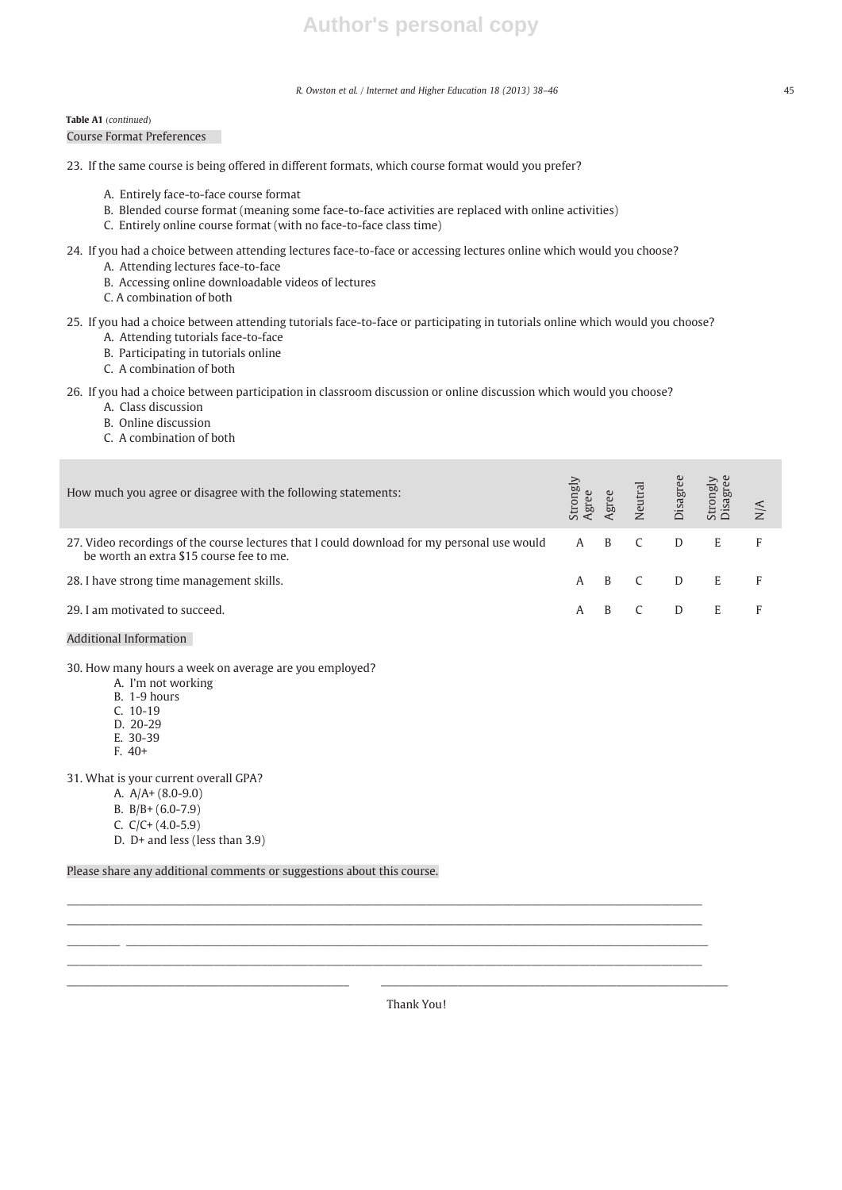# **Author's personal copy**

#### R. Owston et al. / Internet and Higher Education 18 (2013) 38–46 45

Course Format Preferences Table A1 (continued)

23. If the same course is being offered in different formats, which course format would you prefer?

- A. Entirely face-to-face course format
- B. Blended course format (meaning some face-to-face activities are replaced with online activities)
- C. Entirely online course format (with no face-to-face class time)
- 24. If you had a choice between attending lectures face-to-face or accessing lectures online which would you choose?
	- A. Attending lectures face-to-face
	- B. Accessing online downloadable videos of lectures
	- C. A combination of both
- 25. If you had a choice between attending tutorials face-to-face or participating in tutorials online which would you choose? A. Attending tutorials face-to-face
	- B. Participating in tutorials online
	- C. A combination of both

26. If you had a choice between participation in classroom discussion or online discussion which would you choose?

- A. Class discussion
	- B. Online discussion
	- C. A combination of both

| How much you agree or disagree with the following statements:                                                                                 |  |                | Strongly<br>Agree<br>Agree<br>Neutral<br>Disagree<br>Disagree<br>Strongly<br>Disagree |  |
|-----------------------------------------------------------------------------------------------------------------------------------------------|--|----------------|---------------------------------------------------------------------------------------|--|
| 27. Video recordings of the course lectures that I could download for my personal use would A B C<br>be worth an extra \$15 course fee to me. |  | $\overline{D}$ | E F                                                                                   |  |
| 28. I have strong time management skills.                                                                                                     |  |                | A B C D E F                                                                           |  |
| 29. I am motivated to succeed.                                                                                                                |  |                | E                                                                                     |  |

#### Additional Information

30. How many hours a week on average are you employed?

- A. I'm not working
- B. 1-9 hours
- C. 10-19 D. 20-29
- E. 30-39
- F. 40+

31. What is your current overall GPA?

- A. A/A+ (8.0-9.0)
- B. B/B+ (6.0-7.9)
- C.  $C/C+(4.0-5.9)$
- D. D+ and less (less than 3.9)

Please share any additional comments or suggestions about this course.

Thank You!

\_\_\_\_\_\_\_\_\_\_\_\_\_\_\_\_\_\_\_\_\_\_\_\_\_\_\_\_\_\_\_\_\_\_\_\_\_\_\_\_\_\_\_\_\_\_\_\_\_\_\_\_\_\_\_\_\_\_\_\_\_\_\_\_\_\_\_\_\_\_\_\_\_\_\_\_\_\_\_\_\_\_\_\_\_\_\_\_\_\_\_\_\_\_\_\_\_\_\_\_\_\_\_\_\_\_\_\_ \_\_\_\_\_\_\_\_\_\_\_\_\_\_\_\_\_\_\_\_\_\_\_\_\_\_\_\_\_\_\_\_\_\_\_\_\_\_\_\_\_\_\_\_\_\_\_\_\_\_\_\_\_\_\_\_\_\_\_\_\_\_\_\_\_\_\_\_\_\_\_\_\_\_\_\_\_\_\_\_\_\_\_\_\_\_\_\_\_\_\_\_\_\_\_\_\_\_\_\_\_\_\_\_\_\_\_\_ \_\_\_\_\_\_\_\_\_ \_\_\_\_\_\_\_\_\_\_\_\_\_\_\_\_\_\_\_\_\_\_\_\_\_\_\_\_\_\_\_\_\_\_\_\_\_\_\_\_\_\_\_\_\_\_\_\_\_\_\_\_\_\_\_\_\_\_\_\_\_\_\_\_\_\_\_\_\_\_\_\_\_\_\_\_\_\_\_\_\_\_\_\_\_\_\_\_\_\_\_\_\_\_\_\_\_\_\_ \_\_\_\_\_\_\_\_\_\_\_\_\_\_\_\_\_\_\_\_\_\_\_\_\_\_\_\_\_\_\_\_\_\_\_\_\_\_\_\_\_\_\_\_\_\_\_\_\_\_\_\_\_\_\_\_\_\_\_\_\_\_\_\_\_\_\_\_\_\_\_\_\_\_\_\_\_\_\_\_\_\_\_\_\_\_\_\_\_\_\_\_\_\_\_\_\_\_\_\_\_\_\_\_\_\_\_\_ \_\_\_\_\_\_\_\_\_\_\_\_\_\_\_\_\_\_\_\_\_\_\_\_\_\_\_\_\_\_\_\_\_\_\_\_\_\_\_\_\_\_\_\_\_\_\_\_ \_\_\_\_\_\_\_\_\_\_\_\_\_\_\_\_\_\_\_\_\_\_\_\_\_\_\_\_\_\_\_\_\_\_\_\_\_\_\_\_\_\_\_\_\_\_\_\_\_\_\_\_\_\_\_\_\_\_\_